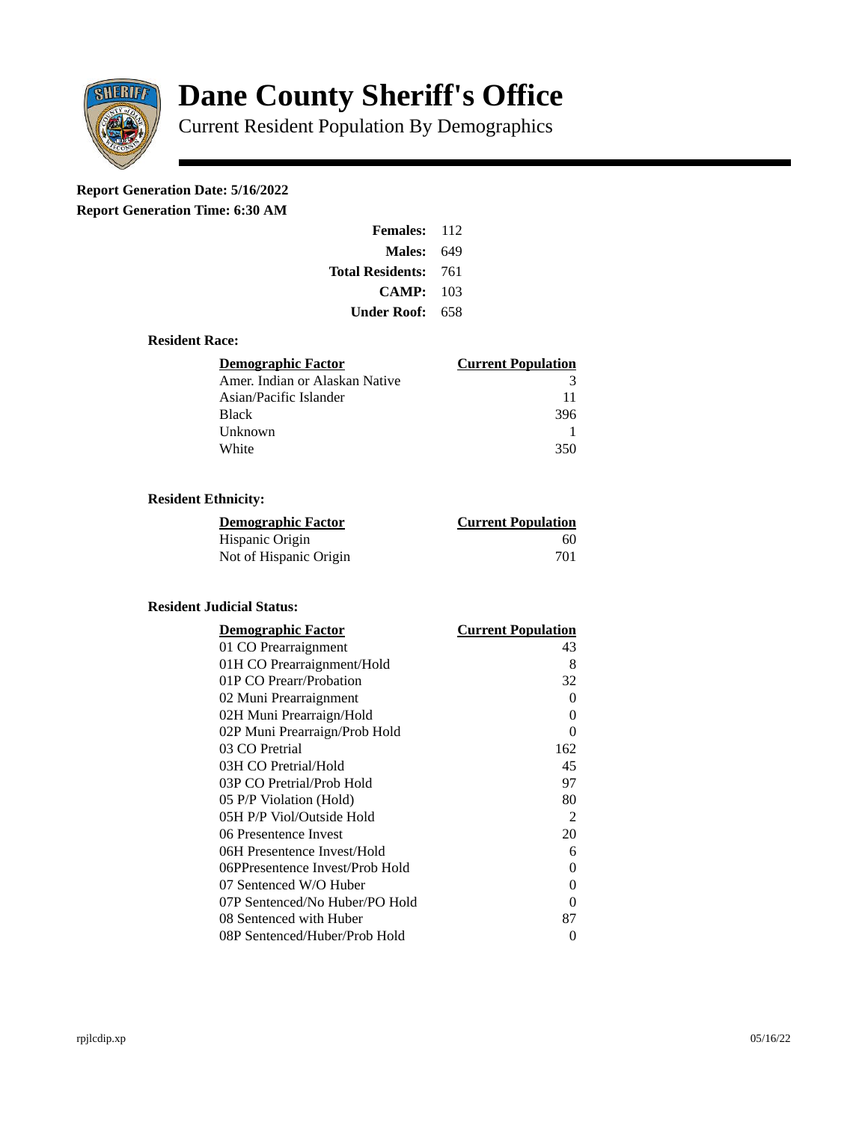

# **Dane County Sheriff's Office**

Current Resident Population By Demographics

# **Report Generation Date: 5/16/2022**

**Report Generation Time: 6:30 AM** 

| <b>Females: 112</b>         |     |
|-----------------------------|-----|
| Males:                      | 649 |
| <b>Total Residents: 761</b> |     |
| CAMP: 103                   |     |
| Under Roof:                 | 658 |

# **Resident Race:**

| <b>Demographic Factor</b>      | <b>Current Population</b> |
|--------------------------------|---------------------------|
| Amer. Indian or Alaskan Native | २                         |
| Asian/Pacific Islander         | 11                        |
| <b>Black</b>                   | 396                       |
| Unknown                        |                           |
| White                          | 350                       |

# **Resident Ethnicity:**

| <u>Demographic Factor</u> | <b>Current Population</b> |
|---------------------------|---------------------------|
| Hispanic Origin           | 60                        |
| Not of Hispanic Origin    | 701                       |

# **Resident Judicial Status:**

| <b>Demographic Factor</b>       | <b>Current Population</b> |
|---------------------------------|---------------------------|
| 01 CO Prearraignment            | 43                        |
| 01H CO Prearraignment/Hold      | 8                         |
| 01P CO Prearr/Probation         | 32                        |
| 02 Muni Prearraignment          | O                         |
| 02H Muni Prearraign/Hold        | 0                         |
| 02P Muni Prearraign/Prob Hold   | 0                         |
| 03 CO Pretrial                  | 162                       |
| 03H CO Pretrial/Hold            | 45                        |
| 03P CO Pretrial/Prob Hold       | 97                        |
| 05 P/P Violation (Hold)         | 80                        |
| 05H P/P Viol/Outside Hold       | 2                         |
| 06 Presentence Invest           | 20                        |
| 06H Presentence Invest/Hold     | 6                         |
| 06PPresentence Invest/Prob Hold | 0                         |
| 07 Sentenced W/O Huber          | 0                         |
| 07P Sentenced/No Huber/PO Hold  | 0                         |
| 08 Sentenced with Huber         | 87                        |
| 08P Sentenced/Huber/Prob Hold   | 0                         |